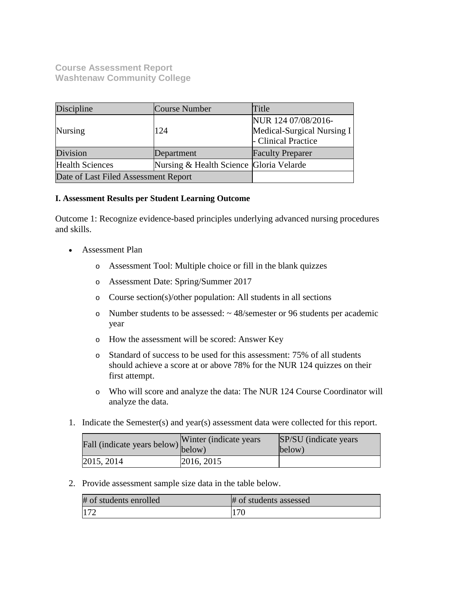**Course Assessment Report Washtenaw Community College**

| Discipline<br>Course Number          |                                         | Title                                                                    |  |
|--------------------------------------|-----------------------------------------|--------------------------------------------------------------------------|--|
| <b>Nursing</b>                       | 124                                     | NUR 124 07/08/2016-<br>Medical-Surgical Nursing I<br>- Clinical Practice |  |
| Division                             | Department                              | <b>Faculty Preparer</b>                                                  |  |
| <b>Health Sciences</b>               | Nursing & Health Science Gloria Velarde |                                                                          |  |
| Date of Last Filed Assessment Report |                                         |                                                                          |  |

## **I. Assessment Results per Student Learning Outcome**

Outcome 1: Recognize evidence-based principles underlying advanced nursing procedures and skills.

- Assessment Plan
	- o Assessment Tool: Multiple choice or fill in the blank quizzes
	- o Assessment Date: Spring/Summer 2017
	- o Course section(s)/other population: All students in all sections
	- o Number students to be assessed: ~ 48/semester or 96 students per academic year
	- o How the assessment will be scored: Answer Key
	- o Standard of success to be used for this assessment: 75% of all students should achieve a score at or above 78% for the NUR 124 quizzes on their first attempt.
	- o Who will score and analyze the data: The NUR 124 Course Coordinator will analyze the data.
- 1. Indicate the Semester(s) and year(s) assessment data were collected for this report.

| Fall (indicate years below) below) | Winter (indicate years) | SP/SU (indicate years)<br>below) |  |
|------------------------------------|-------------------------|----------------------------------|--|
| 2015, 2014                         | 2016, 2015              |                                  |  |

2. Provide assessment sample size data in the table below.

| # of students enrolled | # of students assessed |  |
|------------------------|------------------------|--|
| 172                    | 70                     |  |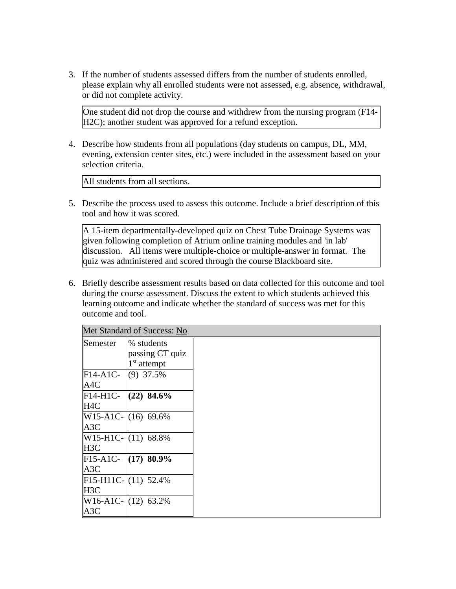3. If the number of students assessed differs from the number of students enrolled, please explain why all enrolled students were not assessed, e.g. absence, withdrawal, or did not complete activity.

One student did not drop the course and withdrew from the nursing program (F14- H<sub>2C</sub>); another student was approved for a refund exception.

4. Describe how students from all populations (day students on campus, DL, MM, evening, extension center sites, etc.) were included in the assessment based on your selection criteria.

All students from all sections.

5. Describe the process used to assess this outcome. Include a brief description of this tool and how it was scored.

A 15-item departmentally-developed quiz on Chest Tube Drainage Systems was given following completion of Atrium online training modules and 'in lab' discussion. All items were multiple-choice or multiple-answer in format. The quiz was administered and scored through the course Blackboard site.

6. Briefly describe assessment results based on data collected for this outcome and tool during the course assessment. Discuss the extent to which students achieved this learning outcome and indicate whether the standard of success was met for this outcome and tool.

|                               | Met Standard of Success: No   |
|-------------------------------|-------------------------------|
| Semester                      | % students<br>passing CT quiz |
|                               | $1st$ attempt                 |
| $\mathbb{F}14-A1C-$ (9) 37.5% |                               |
| A <sub>4</sub> C              |                               |
| $F14-H1C-$                    | $(22)$ 84.6%                  |
| H <sub>4C</sub>               |                               |
|                               | $W15-A1C-$ (16) 69.6%         |
| A <sub>3</sub> C              |                               |
|                               | $W15-H1C-$ (11) 68.8%         |
| H <sub>3</sub> C              |                               |
|                               | $F15-A1C-$ (17) 80.9%         |
| A <sub>3</sub> C              |                               |
|                               | $F15-H11C-$ (11) 52.4%        |
| <b>IH3C</b>                   |                               |
|                               | $W16-A1C-$ (12) 63.2%         |
| A3C                           |                               |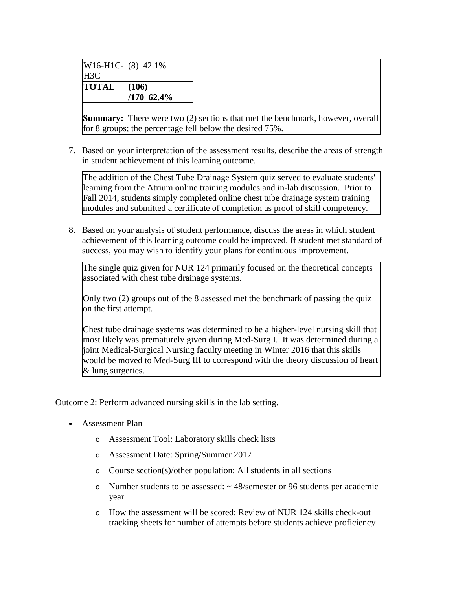| $W16-H1C-$ (8) 42.1% |              |
|----------------------|--------------|
| H3C                  |              |
| <b>TOTAL</b>         | (106)        |
|                      | $/170$ 62.4% |

**Summary:** There were two (2) sections that met the benchmark, however, overall for 8 groups; the percentage fell below the desired 75%.

7. Based on your interpretation of the assessment results, describe the areas of strength in student achievement of this learning outcome.

The addition of the Chest Tube Drainage System quiz served to evaluate students' learning from the Atrium online training modules and in-lab discussion. Prior to Fall 2014, students simply completed online chest tube drainage system training modules and submitted a certificate of completion as proof of skill competency.

8. Based on your analysis of student performance, discuss the areas in which student achievement of this learning outcome could be improved. If student met standard of success, you may wish to identify your plans for continuous improvement.

The single quiz given for NUR 124 primarily focused on the theoretical concepts associated with chest tube drainage systems.

Only two (2) groups out of the 8 assessed met the benchmark of passing the quiz on the first attempt.

Chest tube drainage systems was determined to be a higher-level nursing skill that most likely was prematurely given during Med-Surg I. It was determined during a joint Medical-Surgical Nursing faculty meeting in Winter 2016 that this skills would be moved to Med-Surg III to correspond with the theory discussion of heart & lung surgeries.

Outcome 2: Perform advanced nursing skills in the lab setting.

- Assessment Plan
	- o Assessment Tool: Laboratory skills check lists
	- o Assessment Date: Spring/Summer 2017
	- o Course section(s)/other population: All students in all sections
	- o Number students to be assessed: ~ 48/semester or 96 students per academic year
	- o How the assessment will be scored: Review of NUR 124 skills check-out tracking sheets for number of attempts before students achieve proficiency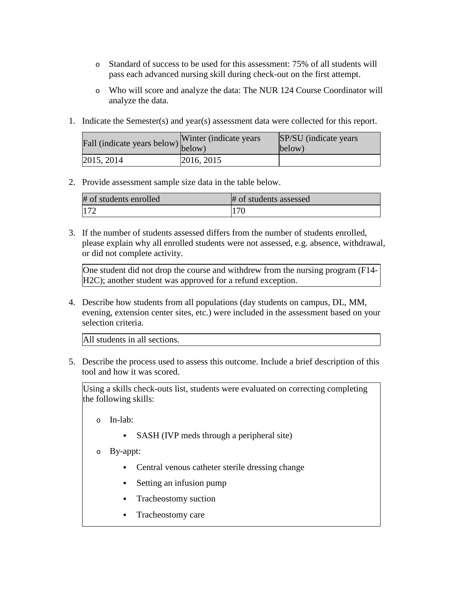- o Standard of success to be used for this assessment: 75% of all students will pass each advanced nursing skill during check-out on the first attempt.
- o Who will score and analyze the data: The NUR 124 Course Coordinator will analyze the data.
- 1. Indicate the Semester(s) and year(s) assessment data were collected for this report.

| Fall (indicate years below) below) | Winter (indicate years) | SP/SU (indicate years)<br>below) |  |
|------------------------------------|-------------------------|----------------------------------|--|
| 2015, 2014                         | 2016, 2015              |                                  |  |

# 2. Provide assessment sample size data in the table below.

| # of students enrolled | # of students assessed |
|------------------------|------------------------|
|                        | 170                    |

3. If the number of students assessed differs from the number of students enrolled, please explain why all enrolled students were not assessed, e.g. absence, withdrawal, or did not complete activity.

One student did not drop the course and withdrew from the nursing program (F14- H2C); another student was approved for a refund exception.

4. Describe how students from all populations (day students on campus, DL, MM, evening, extension center sites, etc.) were included in the assessment based on your selection criteria.

All students in all sections.

5. Describe the process used to assess this outcome. Include a brief description of this tool and how it was scored.

Using a skills check-outs list, students were evaluated on correcting completing the following skills:

o In-lab:

- SASH (IVP meds through a peripheral site)
- o By-appt:
	- Central venous catheter sterile dressing change
	- Setting an infusion pump
	- Tracheostomy suction
	- **Tracheostomy care**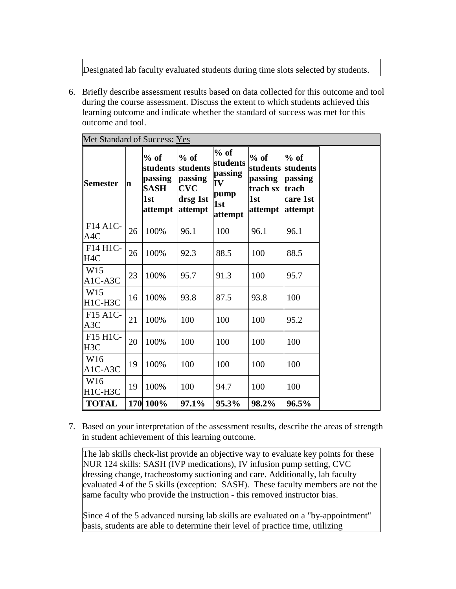Designated lab faculty evaluated students during time slots selected by students.

6. Briefly describe assessment results based on data collected for this outcome and tool during the course assessment. Discuss the extent to which students achieved this learning outcome and indicate whether the standard of success was met for this outcome and tool.

| Met Standard of Success: Yes                          |    |                                                                |                                                                    |                                                               |                                                                      |                                                   |
|-------------------------------------------------------|----|----------------------------------------------------------------|--------------------------------------------------------------------|---------------------------------------------------------------|----------------------------------------------------------------------|---------------------------------------------------|
| <b>Semester</b>                                       | m  | $%$ of<br>students<br>passing<br><b>SASH</b><br>1st<br>attempt | $%$ of<br>students<br>passing<br><b>CVC</b><br>drsg 1st<br>attempt | $%$ of<br>students<br>passing<br>IV<br>pump<br>1st<br>attempt | $%$ of<br>students students<br>passing<br>trach sx<br>1st<br>attempt | $%$ of<br>passing<br>trach<br>care 1st<br>attempt |
| F <sub>14</sub> A <sub>1</sub> C-<br>A4C              | 26 | 100%                                                           | 96.1                                                               | 100                                                           | 96.1                                                                 | 96.1                                              |
| F14 H1C-<br>H <sub>4C</sub>                           | 26 | 100%                                                           | 92.3                                                               | 88.5                                                          | 100                                                                  | 88.5                                              |
| W15<br>A1C-A3C                                        | 23 | 100%                                                           | 95.7                                                               | 91.3                                                          | 100                                                                  | 95.7                                              |
| W15<br>H1C-H3C                                        | 16 | 100%                                                           | 93.8                                                               | 87.5                                                          | 93.8                                                                 | 100                                               |
| F <sub>15</sub> A <sub>1</sub> C-<br>A3C              | 21 | 100%                                                           | 100                                                                | 100                                                           | 100                                                                  | 95.2                                              |
| F <sub>15</sub> H <sub>1</sub> C-<br>H <sub>3</sub> C | 20 | 100%                                                           | 100                                                                | 100                                                           | 100                                                                  | 100                                               |
| W16<br>$A1C- A3C$                                     | 19 | 100%                                                           | 100                                                                | 100                                                           | 100                                                                  | 100                                               |
| W16<br>H1C-H3C                                        | 19 | 100%                                                           | 100                                                                | 94.7                                                          | 100                                                                  | 100                                               |
| <b>TOTAL</b>                                          |    | 170 100%                                                       | 97.1%                                                              | 95.3%                                                         | 98.2%                                                                | 96.5%                                             |

7. Based on your interpretation of the assessment results, describe the areas of strength in student achievement of this learning outcome.

The lab skills check-list provide an objective way to evaluate key points for these NUR 124 skills: SASH (IVP medications), IV infusion pump setting, CVC dressing change, tracheostomy suctioning and care. Additionally, lab faculty evaluated 4 of the 5 skills (exception: SASH). These faculty members are not the same faculty who provide the instruction - this removed instructor bias.

Since 4 of the 5 advanced nursing lab skills are evaluated on a "by-appointment" basis, students are able to determine their level of practice time, utilizing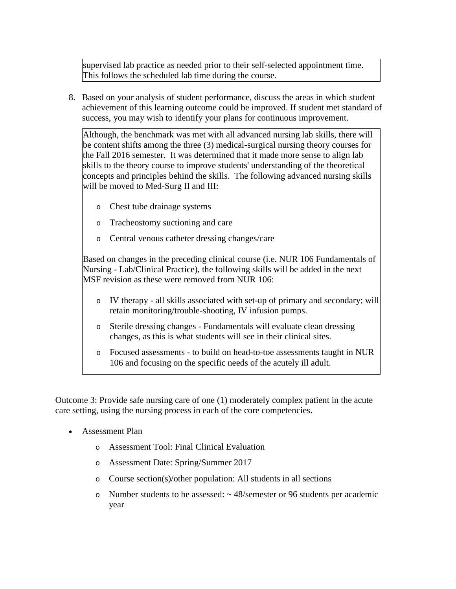supervised lab practice as needed prior to their self-selected appointment time. This follows the scheduled lab time during the course.

8. Based on your analysis of student performance, discuss the areas in which student achievement of this learning outcome could be improved. If student met standard of success, you may wish to identify your plans for continuous improvement.

Although, the benchmark was met with all advanced nursing lab skills, there will be content shifts among the three (3) medical-surgical nursing theory courses for the Fall 2016 semester. It was determined that it made more sense to align lab skills to the theory course to improve students' understanding of the theoretical concepts and principles behind the skills. The following advanced nursing skills will be moved to Med-Surg II and III:

- o Chest tube drainage systems
- o Tracheostomy suctioning and care
- o Central venous catheter dressing changes/care

Based on changes in the preceding clinical course (i.e. NUR 106 Fundamentals of Nursing - Lab/Clinical Practice), the following skills will be added in the next MSF revision as these were removed from NUR 106:

- o IV therapy all skills associated with set-up of primary and secondary; will retain monitoring/trouble-shooting, IV infusion pumps.
- o Sterile dressing changes Fundamentals will evaluate clean dressing changes, as this is what students will see in their clinical sites.
- o Focused assessments to build on head-to-toe assessments taught in NUR 106 and focusing on the specific needs of the acutely ill adult.

Outcome 3: Provide safe nursing care of one (1) moderately complex patient in the acute care setting, using the nursing process in each of the core competencies.

- Assessment Plan
	- o Assessment Tool: Final Clinical Evaluation
	- o Assessment Date: Spring/Summer 2017
	- o Course section(s)/other population: All students in all sections
	- o Number students to be assessed: ~ 48/semester or 96 students per academic year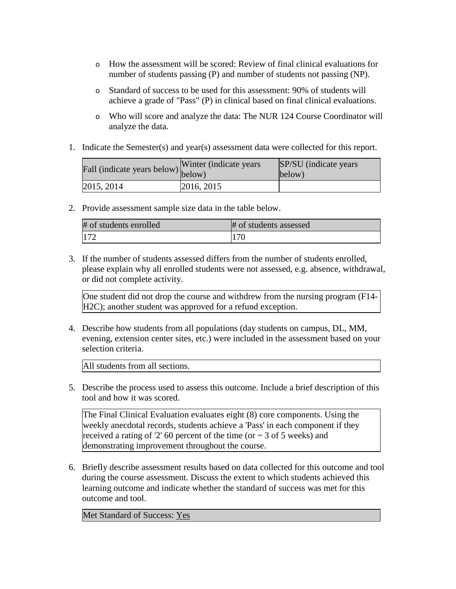- o How the assessment will be scored: Review of final clinical evaluations for number of students passing (P) and number of students not passing (NP).
- o Standard of success to be used for this assessment: 90% of students will achieve a grade of "Pass" (P) in clinical based on final clinical evaluations.
- o Who will score and analyze the data: The NUR 124 Course Coordinator will analyze the data.
- 1. Indicate the Semester(s) and year(s) assessment data were collected for this report.

| Fall (indicate years below) below) | Winter (indicate years) | SP/SU (indicate years)<br>below) |  |
|------------------------------------|-------------------------|----------------------------------|--|
| 2015, 2014                         | 2016, 2015              |                                  |  |

2. Provide assessment sample size data in the table below.

| # of students enrolled | # of students assessed |
|------------------------|------------------------|
| 172                    | 170                    |

3. If the number of students assessed differs from the number of students enrolled, please explain why all enrolled students were not assessed, e.g. absence, withdrawal, or did not complete activity.

One student did not drop the course and withdrew from the nursing program (F14- H2C); another student was approved for a refund exception.

4. Describe how students from all populations (day students on campus, DL, MM, evening, extension center sites, etc.) were included in the assessment based on your selection criteria.

All students from all sections.

5. Describe the process used to assess this outcome. Include a brief description of this tool and how it was scored.

The Final Clinical Evaluation evaluates eight (8) core components. Using the weekly anecdotal records, students achieve a 'Pass' in each component if they received a rating of '2' 60 percent of the time (or  $\sim$  3 of 5 weeks) and demonstrating improvement throughout the course.

6. Briefly describe assessment results based on data collected for this outcome and tool during the course assessment. Discuss the extent to which students achieved this learning outcome and indicate whether the standard of success was met for this outcome and tool.

Met Standard of Success: Yes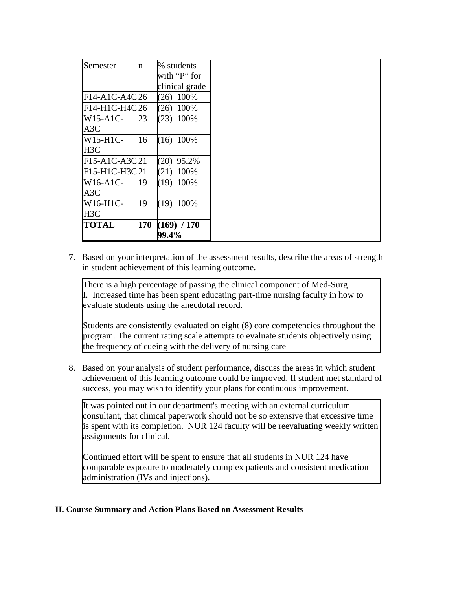| Semester         | n   | % students     |
|------------------|-----|----------------|
|                  |     | with "P" for   |
|                  |     | clinical grade |
| F14-A1C-A4C26    |     | $(26)$ 100%    |
| F14-H1C-H4C26    |     | $(26)$ 100%    |
| $W15-A1C-$       | 23  | $(23)$ 100%    |
| A3C              |     |                |
| $W15-H1C-$       | 16  | $(16)$ 100%    |
| H <sub>3</sub> C |     |                |
| $F15-A1C-A3C21$  |     | $(20)$ 95.2%   |
| $F15-H1C-H3C 21$ |     | $(21)$ 100%    |
| $W16-A1C-$       | 19  | $(19)$ 100%    |
| A3C              |     |                |
| W16-H1C-         | 19  | $(19)$ 100%    |
| H <sub>3</sub> C |     |                |
| <b>TOTAL</b>     | 170 | (169) / 170    |
|                  |     | 99.4%          |

7. Based on your interpretation of the assessment results, describe the areas of strength in student achievement of this learning outcome.

There is a high percentage of passing the clinical component of Med-Surg I. Increased time has been spent educating part-time nursing faculty in how to evaluate students using the anecdotal record.

Students are consistently evaluated on eight (8) core competencies throughout the program. The current rating scale attempts to evaluate students objectively using the frequency of cueing with the delivery of nursing care

8. Based on your analysis of student performance, discuss the areas in which student achievement of this learning outcome could be improved. If student met standard of success, you may wish to identify your plans for continuous improvement.

It was pointed out in our department's meeting with an external curriculum consultant, that clinical paperwork should not be so extensive that excessive time is spent with its completion. NUR 124 faculty will be reevaluating weekly written assignments for clinical.

Continued effort will be spent to ensure that all students in NUR 124 have comparable exposure to moderately complex patients and consistent medication administration (IVs and injections).

## **II. Course Summary and Action Plans Based on Assessment Results**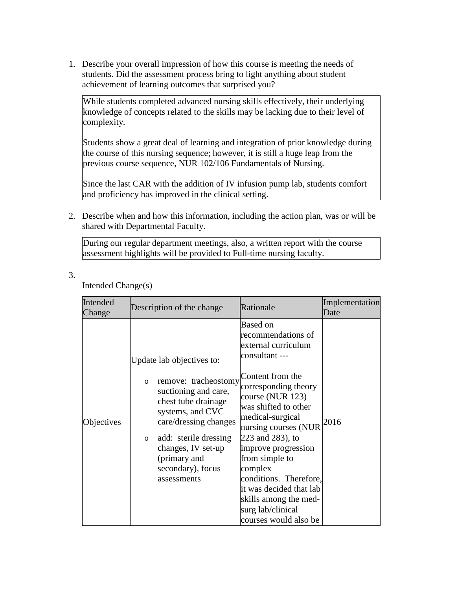1. Describe your overall impression of how this course is meeting the needs of students. Did the assessment process bring to light anything about student achievement of learning outcomes that surprised you?

While students completed advanced nursing skills effectively, their underlying knowledge of concepts related to the skills may be lacking due to their level of complexity.

Students show a great deal of learning and integration of prior knowledge during the course of this nursing sequence; however, it is still a huge leap from the previous course sequence, NUR 102/106 Fundamentals of Nursing.

Since the last CAR with the addition of IV infusion pump lab, students comfort and proficiency has improved in the clinical setting.

2. Describe when and how this information, including the action plan, was or will be shared with Departmental Faculty.

During our regular department meetings, also, a written report with the course assessment highlights will be provided to Full-time nursing faculty.

3.

Intended Change(s)

| Intended<br>Change | Description of the change                                                                                                                                                                                                                 | Rationale                                                                                                                                                                                                                                 | Implementation<br>Date |
|--------------------|-------------------------------------------------------------------------------------------------------------------------------------------------------------------------------------------------------------------------------------------|-------------------------------------------------------------------------------------------------------------------------------------------------------------------------------------------------------------------------------------------|------------------------|
| Objectives         | Update lab objectives to:                                                                                                                                                                                                                 | <b>Based on</b><br>recommendations of<br>external curriculum<br>consultant ---<br>Content from the                                                                                                                                        |                        |
|                    | remove: tracheostomy<br>$\circ$<br>suctioning and care,<br>chest tube drainage<br>systems, and CVC<br>care/dressing changes<br>add: sterile dressing<br>$\circ$<br>changes, IV set-up<br>(primary and<br>secondary), focus<br>assessments | corresponding theory<br>course (NUR 123)<br>was shifted to other<br>medical-surgical<br>nursing courses (NUR<br>223 and 283), to<br>improve progression<br>from simple to<br>complex<br>conditions. Therefore,<br>it was decided that lab | 2016                   |
|                    |                                                                                                                                                                                                                                           | skills among the med-<br>surg lab/clinical<br>courses would also be                                                                                                                                                                       |                        |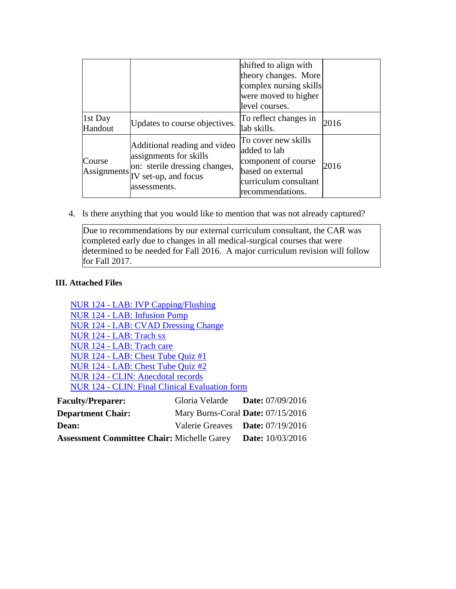|                    |                                                                                                                                                                                           | shifted to align with<br>theory changes. More<br>complex nursing skills<br>were moved to higher<br>level courses.            |      |
|--------------------|-------------------------------------------------------------------------------------------------------------------------------------------------------------------------------------------|------------------------------------------------------------------------------------------------------------------------------|------|
| 1st Day<br>Handout | Updates to course objectives.                                                                                                                                                             | To reflect changes in<br>lab skills.                                                                                         | 2016 |
| Course             | Additional reading and video<br>assignments for skills<br>on: sterile dressing changes,<br>$\left  \text{Assigaments} \right _{\text{IV set-up, and focus}}^{\text{out}}$<br>assessments. | To cover new skills<br>added to lab<br>component of course<br>based on external<br>curriculum consultant<br>recommendations. | 2016 |

4. Is there anything that you would like to mention that was not already captured?

Due to recommendations by our external curriculum consultant, the CAR was completed early due to changes in all medical-surgical courses that were determined to be needed for Fall 2016. A major curriculum revision will follow for Fall 2017.

# **III. Attached Files**

NUR 124 - LAB: IVP Capping/Flushing NUR 124 - LAB: Infusion Pump NUR 124 - LAB: CVAD Dressing Change NUR 124 - LAB: Trach sx NUR 124 - LAB: Trach care NUR 124 - LAB: Chest Tube Quiz #1 NUR 124 - LAB: Chest Tube Quiz #2 NUR 124 - CLIN: Anecdotal records NUR 124 - CLIN: Final Clinical Evaluation form

| <b>Faculty/Preparer:</b>                          | Gloria Velarde                    | <b>Date:</b> $07/09/2016$ |
|---------------------------------------------------|-----------------------------------|---------------------------|
| <b>Department Chair:</b>                          | Mary Burns-Coral Date: 07/15/2016 |                           |
| <b>Dean:</b>                                      | Valerie Greaves Date: 07/19/2016  |                           |
| <b>Assessment Committee Chair: Michelle Garey</b> |                                   | <b>Date:</b> $10/03/2016$ |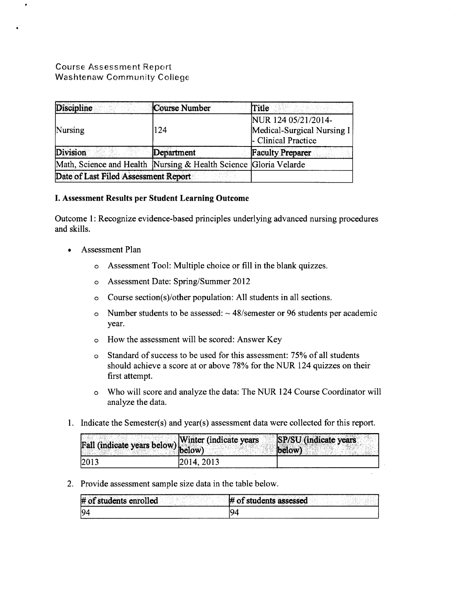# Course Assessment Report Washtenaw Community College

 $\bullet$ 

| <b>Discipline</b>                                                | Course Number | Title                                                                    |
|------------------------------------------------------------------|---------------|--------------------------------------------------------------------------|
| Nursing                                                          | 124           | NUR 124 05/21/2014-<br>Medical-Surgical Nursing I<br>- Clinical Practice |
| Division                                                         | Department    | <b>Faculty Preparer</b>                                                  |
| Math, Science and Health Nursing & Health Science Gloria Velarde |               |                                                                          |
| Date of Last Filed Assessment Report                             |               |                                                                          |

## I. Assessment Results per Student Learning Outcome

Outcome 1: Recognize evidence-based principles underlying advanced nursing procedures and skills.

- Assessment Plan
	- o Assessment Tool: Multiple choice or fill in the blank quizzes.
	- o Assessment Date: Spring/Summer 2012
	- o Course section(s)/other population: All students in all sections.
	- o Number students to be assessed:  $\sim$  48/semester or 96 students per academic year.
	- o How the assessment will be scored: Answer Key
	- o Standard of success to be used for this assessment: 75% of all students should achieve a score at or above 78% for the NUR 124 quizzes on their first attempt.
	- o Who will score and analyze the data: The NUR 124 Course Coordinator will analyze the data.
- 1. Indicate the Semester(s) and year(s) assessment data were collected for this report.

| Fall (indicate years below) Winter (indicate years |            | SP/SU (indicate years<br>(below) |
|----------------------------------------------------|------------|----------------------------------|
| 2013                                               | 2014, 2013 |                                  |

2. Provide assessment sample size data in the table below.

| # of students enrolled | $#$ of students assessed |
|------------------------|--------------------------|
| 94                     |                          |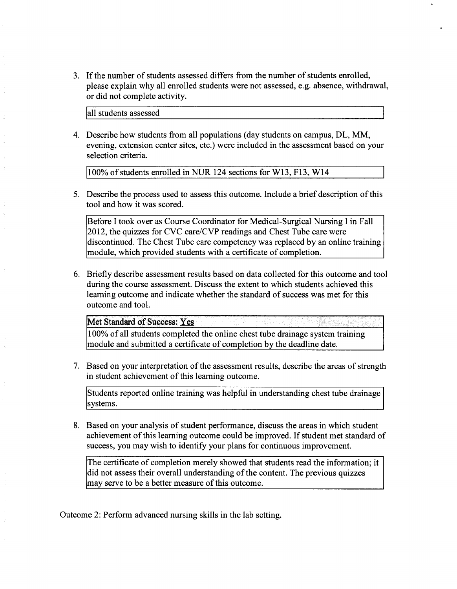3. If the number of students assessed differs from the number of students enrolled, please explain why all enrolled students were not assessed, e.g. absence, withdrawal, or did not complete activity.

lall students assessed

4. Describe how students from all populations (day students on campus, DL, MM, evening, extension center sites, etc.) were included in the assessment based on your selection criteria.

100% of students enrolled in NUR 124 sections for W13, F13, W14

5. Describe the process used to assess this outcome. Include a brief description of this tool and how it was scored.

Before I took over as Course Coordinator for Medical-Surgical Nursing I in Fall 2012, the quizzes for CVC care/CVP readings and Chest Tube care were discontinued. The Chest Tube care competency was replaced by an online training module, which provided students with a certificate of completion.

6. Briefly describe assessment results based on data collected for this outcome and tool during the course assessment. Discuss the extent to which students achieved this learning outcome and indicate whether the standard of success was met for this outcome and tool.

Met Standard of Success: Yes

100% of all students completed the online chest tube drainage system training module and submitted a certificate of completion by the deadline date.

7. Based on your interpretation of the assessment results, describe the areas of strength in student achievement of this learning outcome.

Students reported online training was helpful in understanding chest tube drainage systems.

8. Based on your analysis of student performance, discuss the areas in which student achievement of this learning outcome could be improved. If student met standard of success, you may wish to identify your plans for continuous improvement.

The certificate of completion merely showed that students read the information; it did not assess their overall understanding of the content. The previous quizzes may serve to be a better measure of this outcome.

Outcome 2: Perform advanced nursing skills in the lab setting.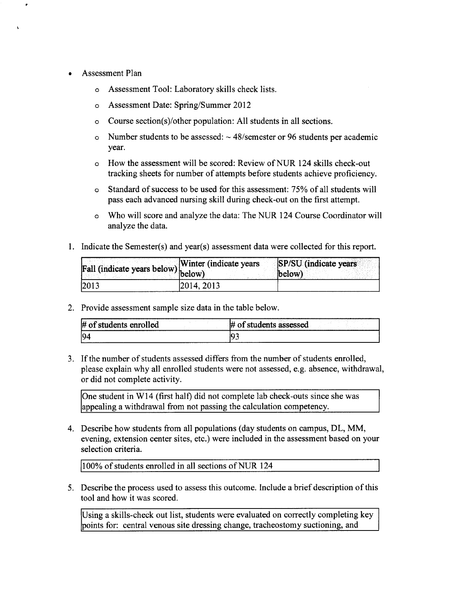- Assessment Plan
	- o Assessment Tool: Laboratory skills check lists.
	- o Assessment Date: Spring/Summer 2012
	- o Course section(s)/other population: All students in all sections.
	- o Number students to be assessed:  $\sim$  48/semester or 96 students per academic year.
	- o How the assessment will be scored: Review ofNUR 124 skills check-out tracking sheets for number of attempts before students achieve proficiency.
	- o Standard of success to be used for this assessment: 75% of all students will pass each advanced nursing skill during check-out on the first attempt.
	- o Who will score and analyze the data: The NUR 124 Course Coordinator will analyze the data.
- 1. Indicate the Semester(s) and year(s) assessment data were collected for this report.

|                                    | <b>SP/SU</b> (indicate years<br><b>Winter (indicate years)</b> |
|------------------------------------|----------------------------------------------------------------|
| Fall (indicate years below) below) | (below)                                                        |
| 2013                               | 2014.2013                                                      |

2. Provide assessment sample size data in the table below.

| ₩<br>tudents enrolled | うちから<br>`ssessed<br>students<br>ass<br>$\sim$ |
|-----------------------|-----------------------------------------------|
| IQ.                   |                                               |

3. If the number of students assessed differs from the number of students enrolled, please explain why all enrolled students were not assessed, e.g. absence, withdrawal, or did not complete activity.

One student in W14 (first half) did not complete lab check-outs since she was appealing a withdrawal from not passing the calculation competency.

4. Describe how students from all populations (day students on campus, DL, MM, evening, extension center sites, etc.) were included in the assessment based on your selection criteria.

jiOO% of students enrolled in all sections ofNUR 124

5. Describe the process used to assess this outcome. Include a brief description of this tool and how it was scored.

Using a skills-check out list, students were evaluated on correctly completing key points for: central venous site dressing change, tracheostomy suctioning, and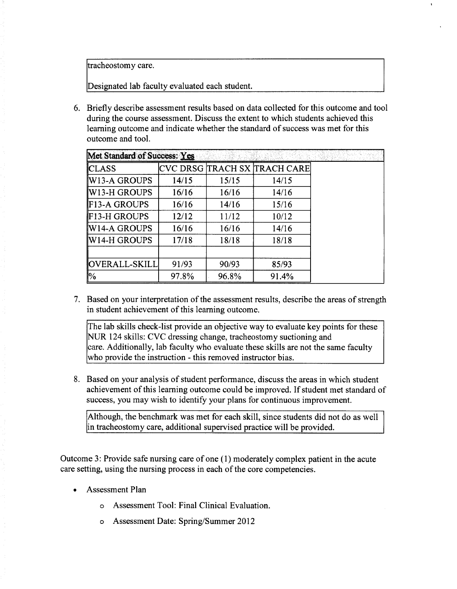tracheostomy care.

Designated lab faculty evaluated each student.

6. Briefly describe assessment results based on data collected for this outcome and tool during the course assessment. Discuss the extent to which students achieved this learning outcome and indicate whether the standard of success was met for this outcome and tool.

| Met Standard of Success: Yes |       |       |                                |  |
|------------------------------|-------|-------|--------------------------------|--|
| <b>CLASS</b>                 |       |       | CVC DRSG  TRACH SX  TRACH CARE |  |
| <b>W13-A GROUPS</b>          | 14/15 | 15/15 | 14/15                          |  |
| ∥W13-H GROUPS                | 16/16 | 16/16 | 14/16                          |  |
| F13-A GROUPS                 | 16/16 | 14/16 | 15/16                          |  |
| <b>IF13-H GROUPS</b>         | 12/12 | 11/12 | 10/12                          |  |
| W14-A GROUPS                 | 16/16 | 16/16 | 14/16                          |  |
| W14-H GROUPS                 | 17/18 | 18/18 | 18/18                          |  |
|                              |       |       |                                |  |
| OVERALL-SKILL                | 91/93 | 90/93 | 85/93                          |  |
| $\frac{10}{6}$               | 97.8% | 96.8% | 91.4%                          |  |

7. Based on your interpretation of the assessment results, describe the areas of strength in student achievement of this learning outcome.

The lab skills check-list provide an objective way to evaluate key points for these NUR 124 skills: CVC dressing change, tracheostomy suctioning and care. Additionally, lab faculty who evaluate these skills are not the same faculty who provide the instruction - this removed instructor bias.

8. Based on your analysis of student performance, discuss the areas in which student achievement of this learning outcome could be improved. If student met standard of success, you may wish to identify your plans for continuous improvement.

Although, the benchmark was met for each skill, since students did not do as well in tracheostomy care, additional supervised practice will be provided.

Outcome 3: Provide safe nursing care of one ( 1) moderately complex patient in the acute care setting, using the nursing process in each of the core competencies.

- Assessment Plan
	- o Assessment Tool: Final Clinical Evaluation.
	- o Assessment Date: Spring/Summer 2012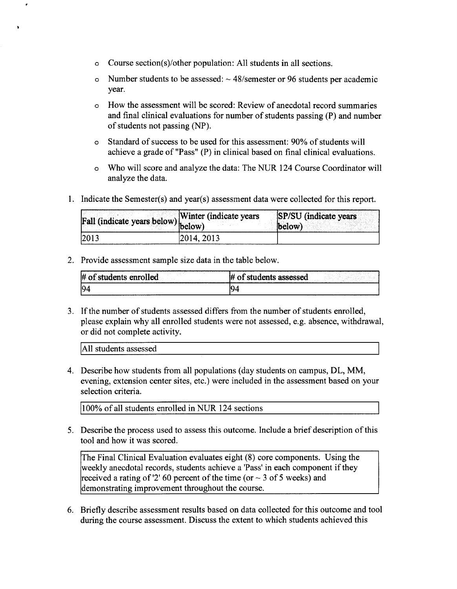- o Course section(s)/other population: All students in all sections.
- o Number students to be assessed:  $\sim$  48/semester or 96 students per academic year.
- o How the assessment will be scored: Review of anecdotal record summaries and final clinical evaluations for number of students passing (P) and number of students not passing (NP).
- o Standard of success to be used for this assessment: 90% of students will achieve a grade of "Pass" (P) in clinical based on final clinical evaluations.
- o Who will score and analyze the data: The NUR 124 Course Coordinator will analyze the data.
- 1. Indicate the Semester(s) and year(s) assessment data were collected for this report.

| Fall (indicate years below) below) | Winter (indicate years) | SP/SU (indicate years<br>below) |
|------------------------------------|-------------------------|---------------------------------|
| $\vert 2013 \vert$                 | 2014, 2013              |                                 |

2. Provide assessment sample size data in the table below.

| $#$ of<br>t students enrolled | # of students assessed |
|-------------------------------|------------------------|
| lQ4                           |                        |

3. If the number of students assessed differs from the number of students enrolled, please explain why all enrolled students were not assessed, e.g. absence, withdrawal, or did not complete activity.

All students assessed

4. Describe how students from all populations (day students on campus, DL, MM, evening, extension center sites, etc.) were included in the assessment based on your selection criteria.

!100% of all students enrolled in NUR 124 sections

5. Describe the process used to assess this outcome. Include a brief description of this tool and how it was scored.

The Final Clinical Evaluation evaluates eight (8) core components. Using the weekly anecdotal records, students achieve a 'Pass' in each component if they received a rating of '2' 60 percent of the time (or  $\sim$  3 of 5 weeks) and demonstrating improvement throughout the course.

6. Briefly describe assessment results based on data collected for this outcome and tool during the course assessment. Discuss the extent to which students achieved this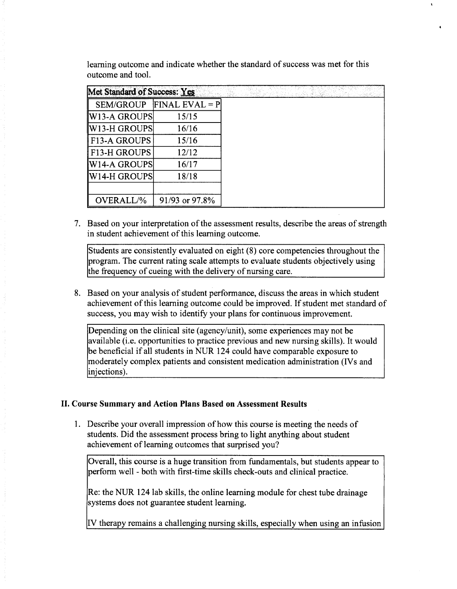learning outcome and indicate whether the standard of success was met for this outcome and tool.

| Met Standard of Success: Yes |                            |
|------------------------------|----------------------------|
|                              | $SEM/GROUP$ FINAL EVAL = P |
| W13-A GROUPS                 | 15/15                      |
| W13-H GROUPS                 | 16/16                      |
| <b>F13-A GROUPS</b>          | 15/16                      |
| F13-H GROUPS                 | 12/12                      |
| W14-A GROUPS                 | 16/17                      |
| ∥W14-H GROUPS                | 18/18                      |
|                              |                            |
| OVERALL/%                    | 91/93 or 97.8%             |

7. Based on your interpretation of the assessment results, describe the areas of strength in student achievement of this learning outcome.

Students are consistently evaluated on eight (8) core competencies throughout the program. The current rating scale attempts to evaluate students objectively using the frequency of cueing with the delivery of nursing care.

8. Based on your analysis of student performance, discuss the areas in which student achievement of this learning outcome could be improved. If student met standard of success, you may wish to identify your plans for continuous improvement.

Depending on the clinical site (agency/unit), some experiences may not be available (i.e. opportunities to practice previous and new nursing skills). It would be beneficial if all students in NUR 124 could have comparable exposure to moderately complex patients and consistent medication administration (IVs and injections).

## II. Course Summary and Action Plans Based on Assessment Results

1. Describe your overall impression of how this course is meeting the needs of students. Did the assessment process bring to light anything about student achievement of learning outcomes that surprised you?

Overall, this course is a huge transition from fundamentals, but students appear to perform well -both with first-time skills check-outs and clinical practice.

Re: the NUR 124 lab skills, the online learning module for chest tube drainage systems does not guarantee student learning.

IV therapy remains a challenging nursing skills, especially when using an infusion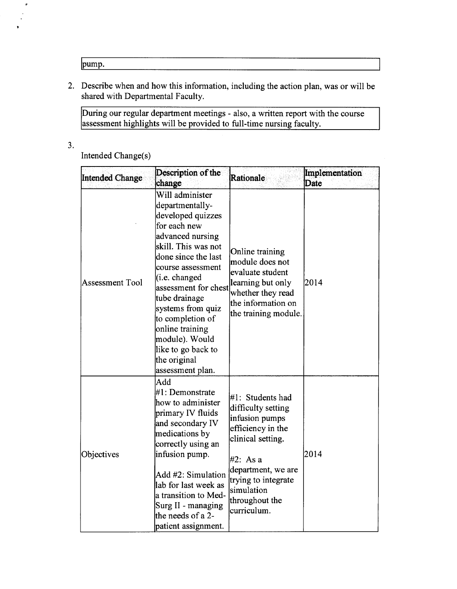lpump.

2. Describe when and how this information, including the action plan, was or will be shared with Departmental Faculty.

During our regular department meetings - also, a written report with the course assessment highlights will be provided to full-time nursing faculty.

3.

 $\boldsymbol{\sigma}$ 

Intended Change(s)

| Intended Change | Description of the<br>change                                                                                                                                                                                                                                                                                                                                      | Rationale                                                                                                                                                                                                  | Implementation<br>Date |
|-----------------|-------------------------------------------------------------------------------------------------------------------------------------------------------------------------------------------------------------------------------------------------------------------------------------------------------------------------------------------------------------------|------------------------------------------------------------------------------------------------------------------------------------------------------------------------------------------------------------|------------------------|
| Assessment Tool | Will administer<br>departmentally-<br>developed quizzes<br>for each new<br>advanced nursing<br>skill. This was not<br>done since the last<br>course assessment<br>(i.e. changed)<br>assessment for chest<br>tube drainage<br>systems from quiz<br>to completion of<br>online training<br>module). Would<br>like to go back to<br>the original<br>assessment plan. | Online training<br>module does not<br>evaluate student<br>learning but only<br>whether they read<br>the information on<br>the training module.                                                             | 2014                   |
| Objectives      | Add<br>#1: Demonstrate<br>how to administer<br>primary IV fluids<br>and secondary IV<br>medications by<br>correctly using an<br>infusion pump.<br>Add #2: Simulation<br>lab for last week as<br>a transition to Med-<br>Surg II - managing<br>the needs of a 2-<br>patient assignment.                                                                            | #1: Students had<br>difficulty setting<br>infusion pumps<br>efficiency in the<br>clinical setting.<br>#2: As a<br>department, we are<br>trying to integrate<br>simulation<br>throughout the<br>curriculum. | 2014                   |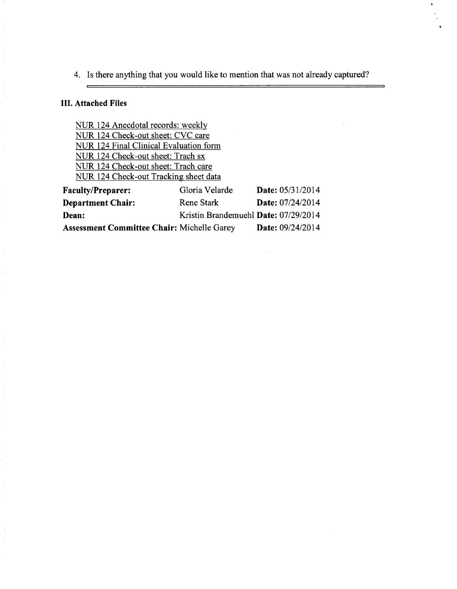4. Is there anything that you would like to mention that was not already captured?

# III. **Attached Files**

 $\equiv$ 

NUR 124 Anecdotal records: weekly NUR 124 Check-out sheet: CVC care NUR 124 Final Clinical Evaluation form NUR 124 Check-out sheet: Trach sx NUR 124 Check-out sheet: Trach care NUR 124 Check-out Tracking sheet data

| <b>Faculty/Preparer:</b>                          | Gloria Velarde                       | <b>Date:</b> $05/31/2014$ |
|---------------------------------------------------|--------------------------------------|---------------------------|
| <b>Department Chair:</b>                          | Rene Stark                           | Date: 07/24/2014          |
| Dean:                                             | Kristin Brandemuehl Date: 07/29/2014 |                           |
| <b>Assessment Committee Chair: Michelle Garey</b> |                                      | <b>Date:</b> $09/24/2014$ |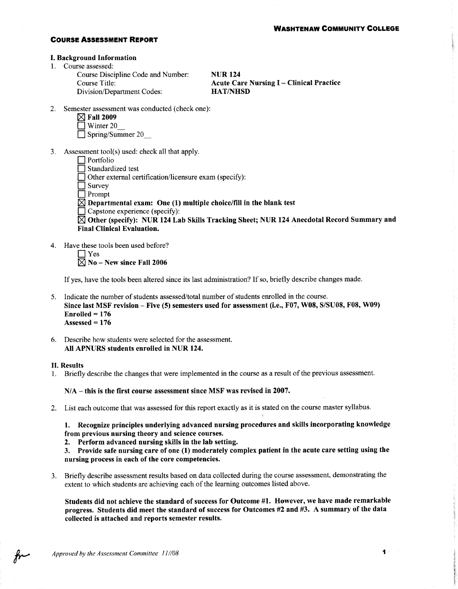### **COURSE ASSESSMENT REPORT**

### **I. Background Information**

1. Course assessed:

Course Discipline Code and Number: Course Title: Division/Department Codes:

**NUR124 Acute Care Nursing I - Clinical Practice HAT/NHSD** 

- 2. Semester assessment was conducted (check one):
	- $\boxtimes$  Fall 2009
	- $\sqrt{ }$  Winter 20

 $\Box$  Spring/Summer 20

- 3. Assessment tool(s) used: check all that apply.
	- $\Box$  Portfolio Standardized test

 $\Box$  Other external certification/licensure exam (specify):

 $\Box$  Survey

 $\Box$  Prompt

- $\boxtimes$  Departmental exam: One (1) multiple choice/fill in the blank test
- $\Box$  Capstone experience (specify):

 $\boxtimes$  Other (specify): NUR 124 Lab Skills Tracking Sheet; NUR 124 Anecdotal Record Summary and **Final Clinical Evaluation.** 

- 4. Have these tools been used before?
	- $\Box$  Yes

 $\boxtimes$  No - New since Fall 2006

If yes, have the tools been altered since its last administration? If so, briefly describe changes made.

- 5. Indicate the number of students assessed/total number of students enrolled in the course. Since last MSF revision - Five (5) semesters used for assessment (i.e., F07, W08, S/SU08, F08, W09)  $Enrolled = 176$ Assessed =  $176$
- 6. Describe how students were selected for the assessment. All APNURS students enrolled in NUR 124.

### **II. Results**

1. Briefly describe the changes that were implemented in the course as a result of the previous assessment.

 $N/A$  – this is the first course assessment since MSF was revised in 2007.

2. List each outcome that was assessed for this report exactly as it is stated on the course master syllabus.

1. Recognize principles underlying advanced nursing procedures and skills incorporating knowledge from previous nursing theory and science courses.

2. Perform advanced nursing skills in the lab setting.

3. Provide safe nursing care of one (1) moderately complex patient in the acute care setting using the nursing process in each of the core competencies.

3. Briefly describe assessment results based on data collected during the course assessment, demonstrating the extent to which students are achieving each of the learning outcomes listed above.

Students did not achieve the standard of success for Outcome #1. However, we have made remarkable progress. Students did meet the standard of success for Outcomes #2 and #3. A summary of the data collected is attached and reports semester results.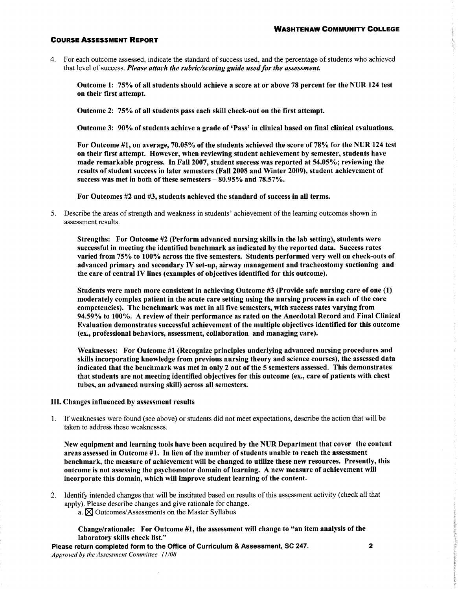### **COURSE ASSESSMENT REPORT**

4. For each outcome assessed, indicate the standard of success used, and the percentage of students who achieved that level of success. Please attach the rubric/scoring guide used for the assessment.

Outcome 1: 75% of all students should achieve a score at or above 78 percent for the NUR 124 test on their first attempt.

Outcome 2: 75% of all students pass each skill check-out on the first attempt.

Outcome 3: 90% of students achieve a grade of 'Pass' in clinical based on final clinical evaluations.

For Outcome #1, on average, 70.05% of the students achieved the score of 78% for the NUR 124 test on their first attempt. However, when reviewing student achievement by semester, students have made remarkable progress. In Fall 2007, student success was reported at 54.05%; reviewing the results of student success in later semesters (Fall 2008 and Winter 2009), student achievement of success was met in both of these semesters  $-80.95\%$  and 78.57%.

For Outcomes #2 and #3, students achieved the standard of success in all terms.

5. Describe the areas of strength and weakness in students' achievement of the learning outcomes shown in assessment results.

Strengths: For Outcome #2 (Perform advanced nursing skills in the lab setting), students were successful in meeting the identified benchmark as indicated by the reported data. Success rates varied from 75% to 100% across the five semesters. Students performed very well on check-outs of advanced primary and secondary IV set-up, airway management and tracheostomy suctioning and the care of central IV lines (examples of objectives identified for this outcome).

Students were much more consistent in achieving Outcome #3 (Provide safe nursing care of one (1) moderately complex patient in the acute care setting using the nursing process in each of the core competencies). The benchmark was met in all five semesters, with success rates varying from 94.59% to 100%. A review of their performance as rated on the Anecdotal Record and Final Clinical Evaluation demonstrates successful achievement of the multiple objectives identified for this outcome (ex., professional behaviors, assessment, collaboration and managing care).

Weaknesses: For Outcome #1 (Recognize principles underlying advanced nursing procedures and skills incorporating knowledge from previous nursing theory and science courses), the assessed data indicated that the benchmark was met in only 2 out of the 5 semesters assessed. This demonstrates that students are not meeting identified objectives for this outcome (ex., care of patients with chest tubes, an advanced nursing skill) across all semesters.

#### III. Changes influenced by assessment results

1. If weaknesses were found (see above) or students did not meet expectations, describe the action that will be taken to address these weaknesses.

New equipment and learning tools have been acquired by the NUR Department that cover the content areas assessed in Outcome #1. In lieu of the number of students unable to reach the assessment benchmark, the measure of achievement will be changed to utilize these new resources. Presently, this outcome is not assessing the psychomotor domain of learning. A new measure of achievement will incorporate this domain, which will improve student learning of the content.

- 2. Identify intended changes that will be instituted based on results of this assessment activity (check all that apply). Please describe changes and give rationale for change.
	- a.  $\boxtimes$  Outcomes/Assessments on the Master Syllabus

Change/rationale: For Outcome #1, the assessment will change to "an item analysis of the laboratory skills check list."

Please return completed form to the Office of Curriculum & Assessment, SC 247. Approved by the Assessment Committee 11/08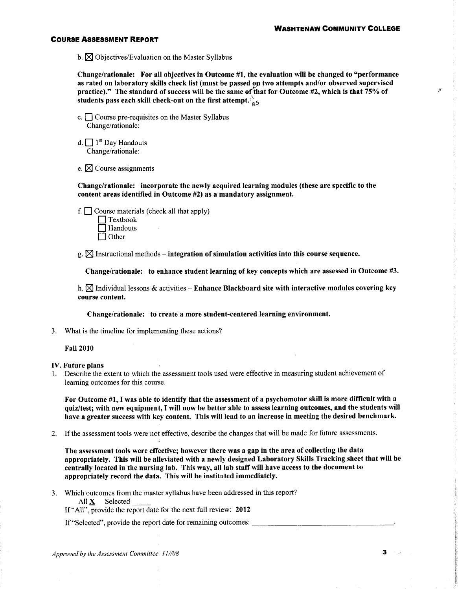$\times$ 

### **COURSE ASSESSMENT REPORT**

b.  $\boxtimes$  Objectives/Evaluation on the Master Syllabus

Change/rationale: For all objectives in Outcome #1, the evaluation will be changed to "performance" as rated on laboratory skills check list (must be passed on two attempts and/or observed supervised practice)." The standard of success will be the same of that for Outcome #2, which is that 75% of students pass each skill check-out on the first attempt.  $\frac{1}{4}$ 

- c.  $\Box$  Course pre-requisites on the Master Syllabus Change/rationale:
- d.  $\Box$  1<sup>st</sup> Day Handouts Change/rationale:

e.  $\boxtimes$  Course assignments

Change/rationale: incorporate the newly acquired learning modules (these are specific to the content areas identified in Outcome #2) as a mandatory assignment.

f.  $\Box$  Course materials (check all that apply)  $\Box$  Textbook Handouts

 $\Box$  Other

 $g \propto \mathbb{Z}$  Instructional methods – integration of simulation activities into this course sequence.

Change/rationale: to enhance student learning of key concepts which are assessed in Outcome #3.

h.  $\boxtimes$  Individual lessons & activities – Enhance Blackboard site with interactive modules covering key course content.

Change/rationale: to create a more student-centered learning environment.

3. What is the timeline for implementing these actions?

### **Fall 2010**

### **IV.** Future plans

1. Describe the extent to which the assessment tools used were effective in measuring student achievement of learning outcomes for this course.

For Outcome #1, I was able to identify that the assessment of a psychomotor skill is more difficult with a quiz/test; with new equipment, I will now be better able to assess learning outcomes, and the students will have a greater success with key content. This will lead to an increase in meeting the desired benchmark.

If the assessment tools were not effective, describe the changes that will be made for future assessments.  $2.$ 

The assessment tools were effective; however there was a gap in the area of collecting the data appropriately. This will be alleviated with a newly designed Laboratory Skills Tracking sheet that will be centrally located in the nursing lab. This way, all lab staff will have access to the document to appropriately record the data. This will be instituted immediately.

Which outcomes from the master syllabus have been addressed in this report?  $3<sub>1</sub>$ All  $\underline{\mathbf{X}}$  Selected If "All", provide the report date for the next full review: 2012

If "Selected", provide the report date for remaining outcomes: